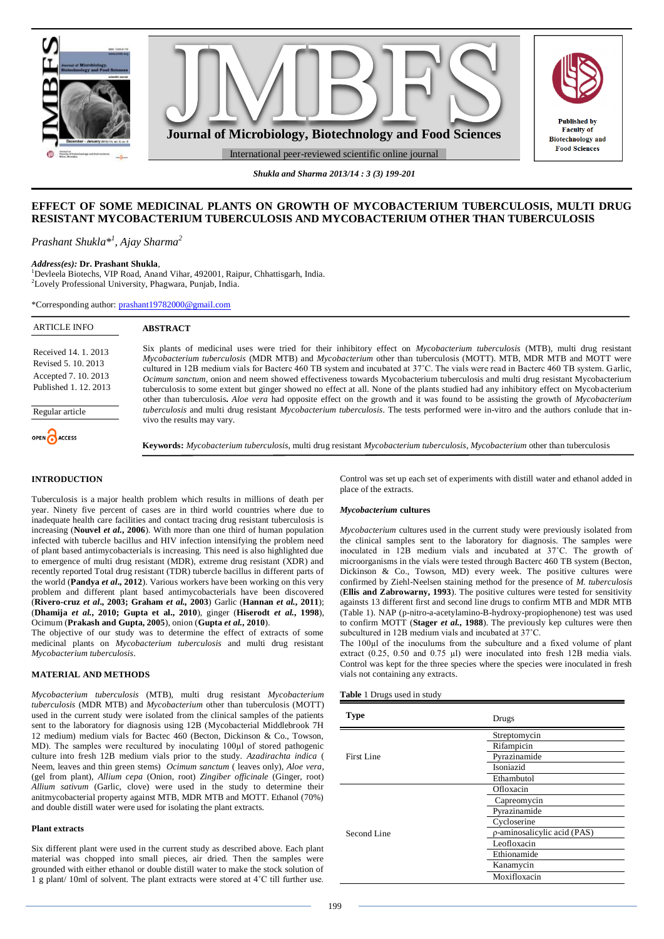

*Shukla and Sharma 2013/14 : 3 (3) 199-201*

# **EFFECT OF SOME MEDICINAL PLANTS ON GROWTH OF MYCOBACTERIUM TUBERCULOSIS, MULTI DRUG RESISTANT MYCOBACTERIUM TUBERCULOSIS AND MYCOBACTERIUM OTHER THAN TUBERCULOSIS**

*Prashant Shukla\*<sup>1</sup> , Ajay Sharma<sup>2</sup>*

## *Address(es):* **Dr. Prashant Shukla**,

<sup>1</sup>Devleela Biotechs, VIP Road, Anand Vihar, 492001, Raipur, Chhattisgarh, India. <sup>2</sup>Lovely Professional University, Phagwara, Punjab, India.

\*Corresponding author: [prashant19782000@gmail.com](mailto:prashant19782000@gmail.com)

| <b>ARTICLE INFO</b>                                                                        | <b>ABSTRACT</b>                                                                                                                                                                                                                                                                                                                                                                                                                                                                                                                                                                                                                                                                                                                                                                                                 |
|--------------------------------------------------------------------------------------------|-----------------------------------------------------------------------------------------------------------------------------------------------------------------------------------------------------------------------------------------------------------------------------------------------------------------------------------------------------------------------------------------------------------------------------------------------------------------------------------------------------------------------------------------------------------------------------------------------------------------------------------------------------------------------------------------------------------------------------------------------------------------------------------------------------------------|
| Received 14, 1, 2013<br>Revised 5, 10, 2013<br>Accepted 7.10.2013<br>Published 1, 12, 2013 | Six plants of medicinal uses were tried for their inhibitory effect on <i>Mycobacterium tuberculosis</i> (MTB), multi drug resistant<br>Mycobacterium tuberculosis (MDR MTB) and Mycobacterium other than tuberculosis (MOTT). MTB, MDR MTB and MOTT were<br>cultured in 12B medium vials for Bacterc 460 TB system and incubated at 37°C. The vials were read in Bacterc 460 TB system. Garlic,<br>Ocimum sanctum, onion and neem showed effectiveness towards Mycobacterium tuberculosis and multi drug resistant Mycobacterium<br>tuberculosis to some extent but ginger showed no effect at all. None of the plants studied had any inhibitory effect on Mycobacterium<br>other than tuberculosis. Aloe vera had opposite effect on the growth and it was found to be assisting the growth of Mycobacterium |
| Regular article                                                                            | tuberculosis and multi drug resistant Mycobacterium tuberculosis. The tests performed were in-vitro and the authors conlude that in-<br>vivo the results may vary.                                                                                                                                                                                                                                                                                                                                                                                                                                                                                                                                                                                                                                              |
| OPEN CACCESS                                                                               | <b>Keywords:</b> Mycobacterium tuberculosis, multi drug resistant Mycobacterium tuberculosis, Mycobacterium other than tuberculosis                                                                                                                                                                                                                                                                                                                                                                                                                                                                                                                                                                                                                                                                             |
| <b>INTRODUCTION</b>                                                                        | Control was set up each set of experiments with distill water and ethanol added in                                                                                                                                                                                                                                                                                                                                                                                                                                                                                                                                                                                                                                                                                                                              |

Tuberculosis is a major health problem which results in millions of death per year. Ninety five percent of cases are in third world countries where due to inadequate health care facilities and contact tracing drug resistant tuberculosis is increasing (**Nouvel** *et al.***, 2006**). With more than one third of human population infected with tubercle bacillus and HIV infection intensifying the problem need of plant based antimycobacterials is increasing. This need is also highlighted due to emergence of multi drug resistant (MDR), extreme drug resistant (XDR) and recently reported Total drug resistant (TDR) tubercle bacillus in different parts of the world (**Pandya** *et al***., 2012**). Various workers have been working on this very problem and different plant based antimycobacterials have been discovered (**Rivero-cruz** *et al***., 2003; Graham** *et al.,* **2003**) Garlic (**Hannan** *et al.***, 2011**);

Ocimum (**Prakash and Gupta, 2005**), onion (**Gupta** *et al.***, 2010**). The objective of our study was to determine the effect of extracts of some medicinal plants on *Mycobacterium tuberculosis* and multi drug resistant *Mycobacterium tuberculosis*.

(**Dhamija** *et al.***, 2010; Gupta et al., 2010**), ginger (**Hiserodt** *et al.***, 1998**),

#### **MATERIAL AND METHODS**

*Mycobacterium tuberculosis* (MTB), multi drug resistant *Mycobacterium tuberculosis* (MDR MTB) and *Mycobacterium* other than tuberculosis (MOTT) used in the current study were isolated from the clinical samples of the patients sent to the laboratory for diagnosis using 12B (Mycobacterial Middlebrook 7H 12 medium) medium vials for Bactec 460 (Becton, Dickinson & Co., Towson, MD). The samples were recultured by inoculating 100µl of stored pathogenic culture into fresh 12B medium vials prior to the study. *Azadirachta indica* ( Neem, leaves and thin green stems) *Ocimum sanctum* ( leaves only), *Aloe vera*, (gel from plant), *Allium cepa* (Onion, root) *Zingiber officinale* (Ginger, root) *Allium sativum* (Garlic, clove) were used in the study to determine their anitmycobacterial property against MTB, MDR MTB and MOTT. Ethanol (70%) and double distill water were used for isolating the plant extracts.

#### **Plant extracts**

Six different plant were used in the current study as described above. Each plant material was chopped into small pieces, air dried. Then the samples were grounded with either ethanol or double distill water to make the stock solution of 1 g plant/ 10ml of solvent. The plant extracts were stored at 4˚C till further use.

t up each set of experiments with distill water and ethanol added in place of the extracts.

### *Mycobacterium* **cultures**

*Mycobacterium* cultures used in the current study were previously isolated from the clinical samples sent to the laboratory for diagnosis. The samples were inoculated in 12B medium vials and incubated at 37˚C. The growth of microorganisms in the vials were tested through Bacterc 460 TB system (Becton, Dickinson & Co., Towson, MD) every week. The positive cultures were confirmed by Ziehl-Neelsen staining method for the presence of *M. tuberculosis* (**Ellis and Zabrowarny, 1993**). The positive cultures were tested for sensitivity againsts 13 different first and second line drugs to confirm MTB and MDR MTB (Table 1). NAP (p-nitro-a-acetylamino-B-hydroxy-propiophenone) test was used to confirm MOTT (**Stager** *et al.***, 1988**). The previously kep cultures were then subcultured in 12B medium vials and incubated at 37˚C.

The 100µl of the inoculums from the subculture and a fixed volume of plant extract (0.25, 0.50 and 0.75 µl) were inoculated into fresh 12B media vials. Control was kept for the three species where the species were inoculated in fresh vials not containing any extracts.

## **Table** 1 Drugs used in study

| <b>Type</b> | Drugs                       |  |
|-------------|-----------------------------|--|
|             | Streptomycin                |  |
|             | Rifampicin                  |  |
| First Line  | Pyrazinamide                |  |
|             | Isoniazid                   |  |
|             | Ethambutol                  |  |
|             | Ofloxacin                   |  |
|             | Capreomycin                 |  |
|             | Pyrazinamide                |  |
|             | Cycloserine                 |  |
| Second Line | p-aminosalicylic acid (PAS) |  |
|             | Leofloxacin                 |  |
|             | Ethionamide                 |  |
|             | Kanamycin                   |  |
|             | Moxifloxacin                |  |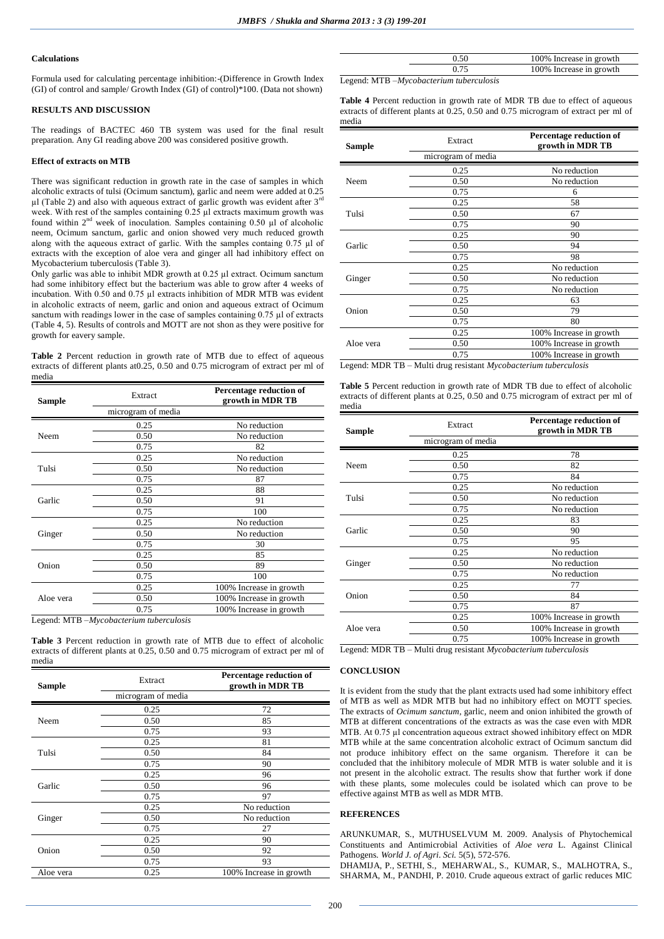### **Calculations**

Formula used for calculating percentage inhibition:-(Difference in Growth Index (GI) of control and sample/ Growth Index (GI) of control)\*100. (Data not shown)

## **RESULTS AND DISCUSSION**

The readings of BACTEC 460 TB system was used for the final result preparation. Any GI reading above 200 was considered positive growth.

## **Effect of extracts on MTB**

There was significant reduction in growth rate in the case of samples in which alcoholic extracts of tulsi (Ocimum sanctum), garlic and neem were added at 0.25  $\mu$ l (Table 2) and also with aqueous extract of garlic growth was evident after 3<sup>rd</sup> week. With rest of the samples containing 0.25 µl extracts maximum growth was found within  $2<sup>nd</sup>$  week of inoculation. Samples containing 0.50 µl of alcoholic neem, Ocimum sanctum, garlic and onion showed very much reduced growth along with the aqueous extract of garlic. With the samples containg  $0.75 \mu l$  of extracts with the exception of aloe vera and ginger all had inhibitory effect on Mycobacterium tuberculosis (Table 3).

Only garlic was able to inhibit MDR growth at 0.25 µl extract. Ocimum sanctum had some inhibitory effect but the bacterium was able to grow after 4 weeks of incubation. With 0.50 and 0.75 µl extracts inhibition of MDR MTB was evident in alcoholic extracts of neem, garlic and onion and aqueous extract of Ocimum sanctum with readings lower in the case of samples containing 0.75 µl of extracts (Table 4, 5). Results of controls and MOTT are not shon as they were positive for growth for eavery sample.

**Table 2** Percent reduction in growth rate of MTB due to effect of aqueous extracts of different plants at0.25, 0.50 and 0.75 microgram of extract per ml of media

| <b>Sample</b> | Extract            | Percentage reduction of<br>growth in MDR TB |
|---------------|--------------------|---------------------------------------------|
|               | microgram of media |                                             |
|               | 0.25               | No reduction                                |
| Neem          | 0.50               | No reduction                                |
|               | 0.75               | 82                                          |
|               | 0.25               | No reduction                                |
| Tulsi         | 0.50               | No reduction                                |
|               | 0.75               | 87                                          |
|               | 0.25               | 88                                          |
| Garlic        | 0.50               | 91                                          |
|               | 0.75               | 100                                         |
|               | 0.25               | No reduction                                |
| Ginger        | 0.50               | No reduction                                |
|               | 0.75               | 30                                          |
|               | 0.25               | 85                                          |
| Onion         | 0.50               | 89                                          |
|               | 0.75               | 100                                         |
|               | 0.25               | 100% Increase in growth                     |
| Aloe vera     | 0.50               | 100% Increase in growth                     |
|               | 0.75               | 100% Increase in growth                     |

Legend: MTB –*Mycobacterium tuberculosis*

**Table 3** Percent reduction in growth rate of MTB due to effect of alcoholic extracts of different plants at 0.25, 0.50 and 0.75 microgram of extract per ml of media

| <b>Sample</b> | Extract            | Percentage reduction of<br>growth in MDR TB |
|---------------|--------------------|---------------------------------------------|
|               | microgram of media |                                             |
|               | 0.25               | 72                                          |
| Neem          | 0.50               | 85                                          |
|               | 0.75               | 93                                          |
|               | 0.25               | 81                                          |
| Tulsi         | 0.50               | 84                                          |
|               | 0.75               | 90                                          |
|               | 0.25               | 96                                          |
| Garlic        | 0.50               | 96                                          |
|               | 0.75               | 97                                          |
|               | 0.25               | No reduction                                |
| Ginger        | 0.50               | No reduction                                |
|               | 0.75               | 27                                          |
|               | 0.25               | 90                                          |
| Onion         | 0.50               | 92                                          |
|               | 0.75               | 93                                          |
| Aloe vera     | 0.25               | 100% Increase in growth                     |

|  | 100% Increase in growth |
|--|-------------------------|
|  | 100% Increase in growth |
|  |                         |

Legend: MTB –*Mycobacterium tuberculosis*

**Table 4** Percent reduction in growth rate of MDR TB due to effect of aqueous extracts of different plants at 0.25, 0.50 and 0.75 microgram of extract per ml of media

| Sample    | Extract            | Percentage reduction of<br>growth in MDR TB |
|-----------|--------------------|---------------------------------------------|
|           | microgram of media |                                             |
|           | 0.25               | No reduction                                |
| Neem      | 0.50               | No reduction                                |
|           | 0.75               | 6                                           |
|           | 0.25               | 58                                          |
| Tulsi     | 0.50               | 67                                          |
|           | 0.75               | 90                                          |
|           | 0.25               | 90                                          |
| Garlic    | 0.50               | 94                                          |
|           | 0.75               | 98                                          |
|           | 0.25               | No reduction                                |
| Ginger    | 0.50               | No reduction                                |
|           | 0.75               | No reduction                                |
|           | 0.25               | 63                                          |
| Onion     | 0.50               | 79                                          |
|           | 0.75               | 80                                          |
|           | 0.25               | 100% Increase in growth                     |
| Aloe vera | 0.50               | 100% Increase in growth                     |
|           | 0.75               | 100% Increase in growth                     |

Legend: MDR TB – Multi drug resistant *Mycobacterium tuberculosis*

**Table 5** Percent reduction in growth rate of MDR TB due to effect of alcoholic extracts of different plants at 0.25, 0.50 and 0.75 microgram of extract per ml of media

| Sample    | Extract            | Percentage reduction of<br>growth in MDR TB |
|-----------|--------------------|---------------------------------------------|
|           | microgram of media |                                             |
|           | 0.25               | 78                                          |
| Neem      | 0.50               | 82                                          |
|           | 0.75               | 84                                          |
|           | 0.25               | No reduction                                |
| Tulsi     | 0.50               | No reduction                                |
|           | 0.75               | No reduction                                |
|           | 0.25               | 83                                          |
| Garlic    | 0.50               | 90                                          |
|           | 0.75               | 95                                          |
|           | 0.25               | No reduction                                |
| Ginger    | 0.50               | No reduction                                |
|           | 0.75               | No reduction                                |
|           | 0.25               | 77                                          |
| Onion     | 0.50               | 84                                          |
|           | 0.75               | 87                                          |
|           | 0.25               | 100% Increase in growth                     |
| Aloe vera | 0.50               | 100% Increase in growth                     |
|           | 0.75               | 100% Increase in growth                     |

Legend: MDR TB – Multi drug resistant *Mycobacterium tuberculosis*

# **CONCLUSION**

It is evident from the study that the plant extracts used had some inhibitory effect of MTB as well as MDR MTB but had no inhibitory effect on MOTT species. The extracts of *Ocimum sanctum*, garlic, neem and onion inhibited the growth of MTB at different concentrations of the extracts as was the case even with MDR MTB. At 0.75 µl concentration aqueous extract showed inhibitory effect on MDR MTB while at the same concentration alcoholic extract of Ocimum sanctum did not produce inhibitory effect on the same organism. Therefore it can be concluded that the inhibitory molecule of MDR MTB is water soluble and it is not present in the alcoholic extract. The results show that further work if done with these plants, some molecules could be isolated which can prove to be effective against MTB as well as MDR MTB.

## **REFERENCES**

ARUNKUMAR, S., MUTHUSELVUM M. 2009. Analysis of Phytochemical Constituents and Antimicrobial Activities of *Aloe vera* L. Against Clinical Pathogens. *World J. of Agri. Sci.* 5(5), 572-576.

DHAMIJA, P., SETHI, S., MEHARWAL, S., KUMAR, S., MALHOTRA, S., SHARMA, M., PANDHI, P. 2010. Crude aqueous extract of garlic reduces MIC